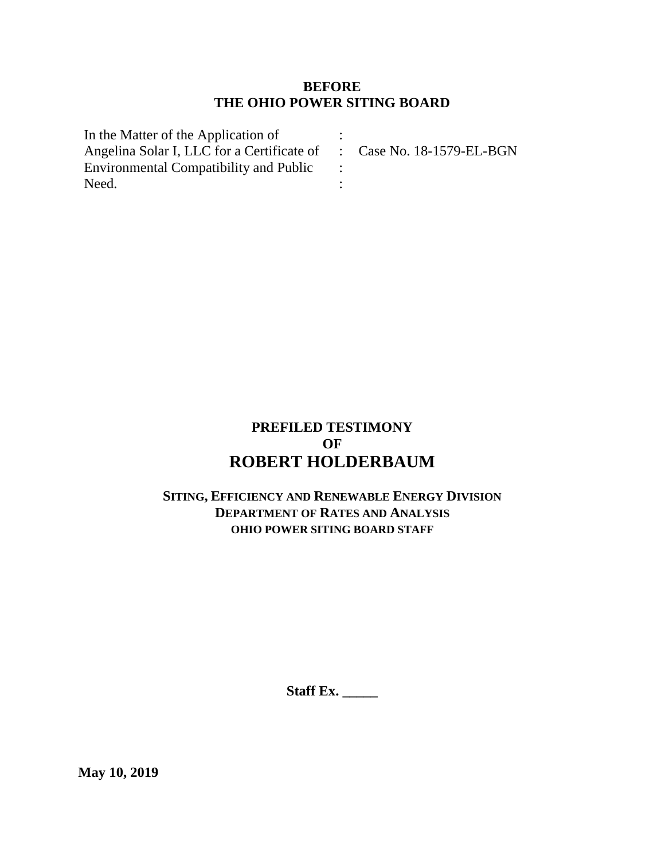## **BEFORE THE OHIO POWER SITING BOARD**

| In the Matter of the Application of                                  |  |
|----------------------------------------------------------------------|--|
| Angelina Solar I, LLC for a Certificate of : Case No. 18-1579-EL-BGN |  |
| <b>Environmental Compatibility and Public</b>                        |  |
| Need.                                                                |  |

# **PREFILED TESTIMONY OF ROBERT HOLDERBAUM**

# **SITING, EFFICIENCY AND RENEWABLE ENERGY DIVISION DEPARTMENT OF RATES AND ANALYSIS OHIO POWER SITING BOARD STAFF**

**Staff Ex. \_\_\_\_\_**

**May 10, 2019**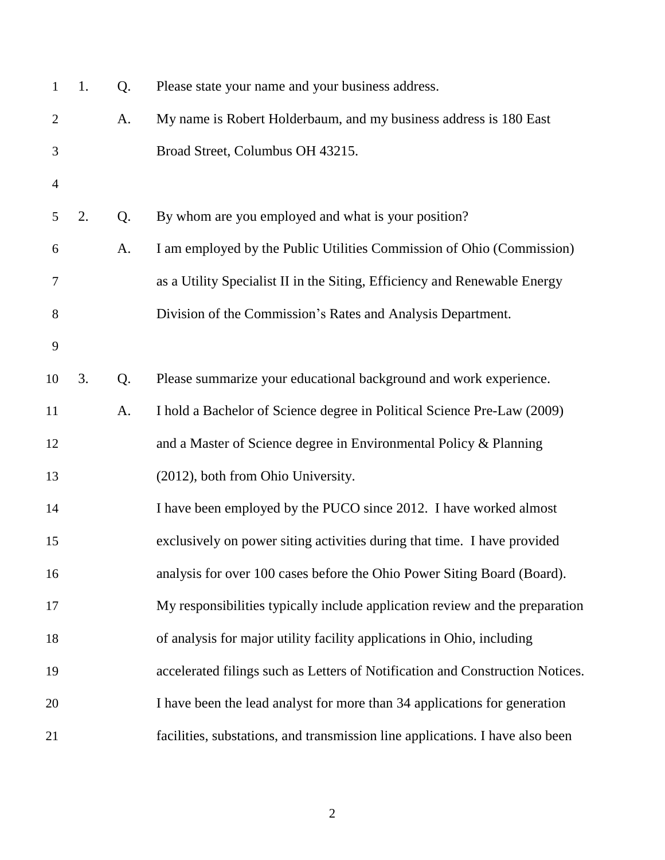| $\mathbf{1}$   | 1. | Q. | Please state your name and your business address.                             |
|----------------|----|----|-------------------------------------------------------------------------------|
| $\overline{2}$ |    | A. | My name is Robert Holderbaum, and my business address is 180 East             |
| 3              |    |    | Broad Street, Columbus OH 43215.                                              |
| $\overline{4}$ |    |    |                                                                               |
| 5              | 2. | Q. | By whom are you employed and what is your position?                           |
| 6              |    | A. | I am employed by the Public Utilities Commission of Ohio (Commission)         |
| 7              |    |    | as a Utility Specialist II in the Siting, Efficiency and Renewable Energy     |
| 8              |    |    | Division of the Commission's Rates and Analysis Department.                   |
| 9              |    |    |                                                                               |
| 10             | 3. | Q. | Please summarize your educational background and work experience.             |
| 11             |    | A. | I hold a Bachelor of Science degree in Political Science Pre-Law (2009)       |
| 12             |    |    | and a Master of Science degree in Environmental Policy & Planning             |
| 13             |    |    | (2012), both from Ohio University.                                            |
| 14             |    |    | I have been employed by the PUCO since 2012. I have worked almost             |
| 15             |    |    | exclusively on power siting activities during that time. I have provided      |
| 16             |    |    | analysis for over 100 cases before the Ohio Power Siting Board (Board).       |
| 17             |    |    | My responsibilities typically include application review and the preparation  |
| 18             |    |    | of analysis for major utility facility applications in Ohio, including        |
| 19             |    |    | accelerated filings such as Letters of Notification and Construction Notices. |
| 20             |    |    | I have been the lead analyst for more than 34 applications for generation     |
| 21             |    |    | facilities, substations, and transmission line applications. I have also been |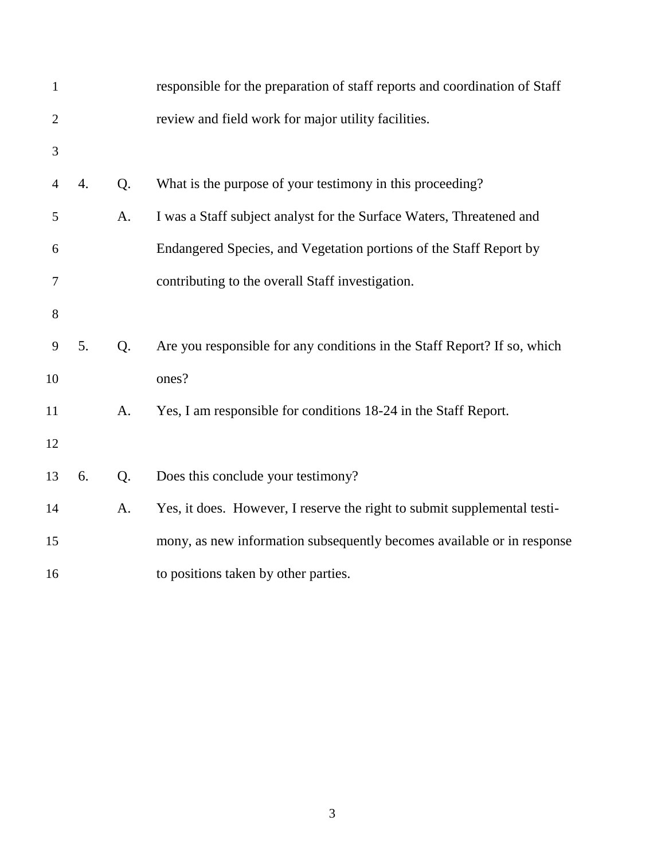| $\mathbf{1}$   |    |    | responsible for the preparation of staff reports and coordination of Staff |
|----------------|----|----|----------------------------------------------------------------------------|
| $\overline{2}$ |    |    | review and field work for major utility facilities.                        |
| 3              |    |    |                                                                            |
| $\overline{4}$ | 4. | Q. | What is the purpose of your testimony in this proceeding?                  |
| 5              |    | A. | I was a Staff subject analyst for the Surface Waters, Threatened and       |
| 6              |    |    | Endangered Species, and Vegetation portions of the Staff Report by         |
| 7              |    |    | contributing to the overall Staff investigation.                           |
| 8              |    |    |                                                                            |
| 9              | 5. | Q. | Are you responsible for any conditions in the Staff Report? If so, which   |
| 10             |    |    | ones?                                                                      |
| 11             |    | A. | Yes, I am responsible for conditions 18-24 in the Staff Report.            |
| 12             |    |    |                                                                            |
| 13             | 6. | Q. | Does this conclude your testimony?                                         |
| 14             |    | A. | Yes, it does. However, I reserve the right to submit supplemental testi-   |
| 15             |    |    | mony, as new information subsequently becomes available or in response     |
| 16             |    |    | to positions taken by other parties.                                       |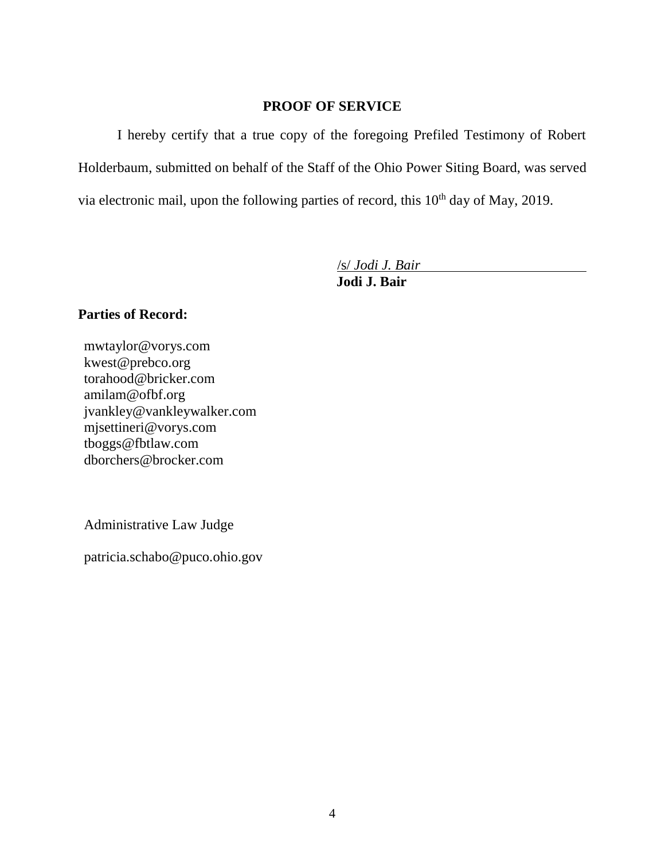#### **PROOF OF SERVICE**

I hereby certify that a true copy of the foregoing Prefiled Testimony of Robert Holderbaum, submitted on behalf of the Staff of the Ohio Power Siting Board, was served via electronic mail, upon the following parties of record, this  $10<sup>th</sup>$  day of May, 2019.

/s/ *Jodi J. Bair*

**Jodi J. Bair**

### **Parties of Record:**

mwtaylor@vorys.com [kwest@prebco.org](mailto:kwest@prebco.org) [torahood@bricker.com](mailto:torahood@bricker.com) [amilam@ofbf.org](mailto:amilam@ofbf.org) [jvankley@vankleywalker.com](mailto:jvankley@vankleywalker.com) [mjsettineri@vorys.com](mailto:mjsettineri@vorys.com) [tboggs@fbtlaw.com](mailto:tboggs@fbtlaw.com) [dborchers@brocker.com](mailto:dborchers@brocker.com)

Administrative Law Judge

patricia.schabo@puco.ohio.gov